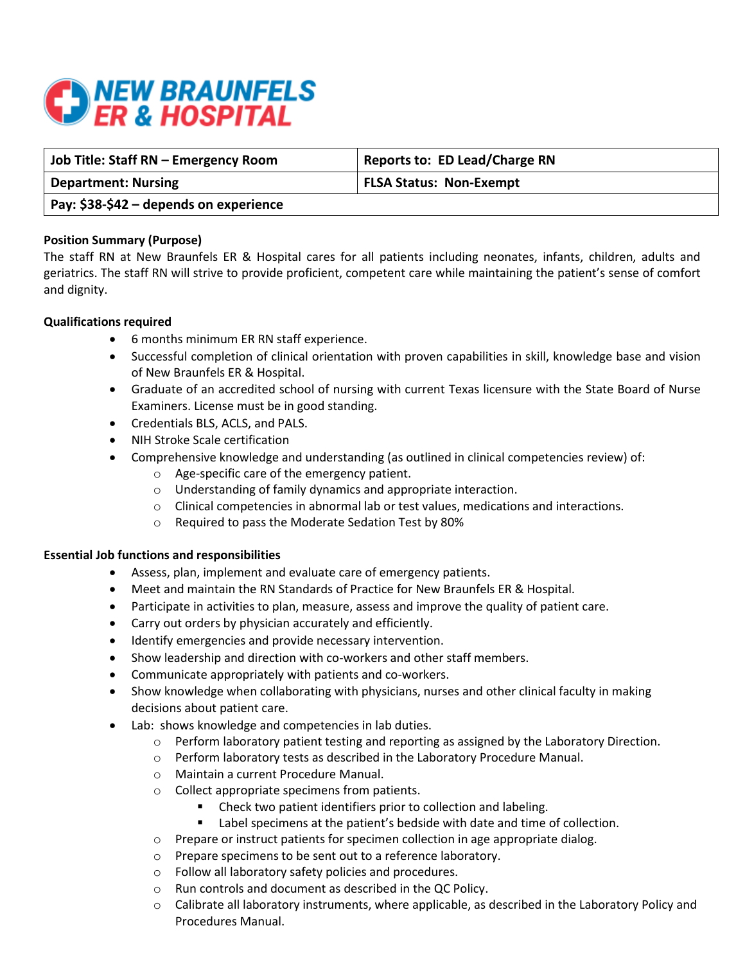

| Job Title: Staff RN – Emergency Room   | <b>Reports to: ED Lead/Charge RN</b> |
|----------------------------------------|--------------------------------------|
| <b>Department: Nursing</b>             | <b>FLSA Status: Non-Exempt</b>       |
| Pay: \$38-\$42 – depends on experience |                                      |

### **Position Summary (Purpose)**

The staff RN at New Braunfels ER & Hospital cares for all patients including neonates, infants, children, adults and geriatrics. The staff RN will strive to provide proficient, competent care while maintaining the patient's sense of comfort and dignity.

### **Qualifications required**

- 6 months minimum ER RN staff experience.
- Successful completion of clinical orientation with proven capabilities in skill, knowledge base and vision of New Braunfels ER & Hospital.
- Graduate of an accredited school of nursing with current Texas licensure with the State Board of Nurse Examiners. License must be in good standing.
- Credentials BLS, ACLS, and PALS.
- NIH Stroke Scale certification
- Comprehensive knowledge and understanding (as outlined in clinical competencies review) of:
	- o Age-specific care of the emergency patient.
	- o Understanding of family dynamics and appropriate interaction.
	- o Clinical competencies in abnormal lab or test values, medications and interactions.
	- o Required to pass the Moderate Sedation Test by 80%

# **Essential Job functions and responsibilities**

- Assess, plan, implement and evaluate care of emergency patients.
- Meet and maintain the RN Standards of Practice for New Braunfels ER & Hospital.
- Participate in activities to plan, measure, assess and improve the quality of patient care.
- Carry out orders by physician accurately and efficiently.
- Identify emergencies and provide necessary intervention.
- Show leadership and direction with co-workers and other staff members.
- Communicate appropriately with patients and co-workers.
- Show knowledge when collaborating with physicians, nurses and other clinical faculty in making decisions about patient care.
- Lab: shows knowledge and competencies in lab duties.
	- $\circ$  Perform laboratory patient testing and reporting as assigned by the Laboratory Direction.
	- o Perform laboratory tests as described in the Laboratory Procedure Manual.
	- o Maintain a current Procedure Manual.
	- o Collect appropriate specimens from patients.
		- Check two patient identifiers prior to collection and labeling.
		- **EXECT** Label specimens at the patient's bedside with date and time of collection.
	- $\circ$  Prepare or instruct patients for specimen collection in age appropriate dialog.
	- o Prepare specimens to be sent out to a reference laboratory.
	- o Follow all laboratory safety policies and procedures.
	- o Run controls and document as described in the QC Policy.
	- $\circ$  Calibrate all laboratory instruments, where applicable, as described in the Laboratory Policy and Procedures Manual.